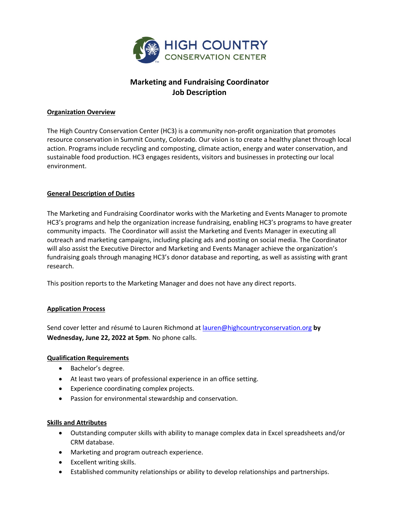

# **Marketing and Fundraising Coordinator Job Description**

# **Organization Overview**

The High Country Conservation Center (HC3) is a community non-profit organization that promotes resource conservation in Summit County, Colorado. Our vision is to create a healthy planet through local action. Programs include recycling and composting, climate action, energy and water conservation, and sustainable food production. HC3 engages residents, visitors and businesses in protecting our local environment.

# **General Description of Duties**

The Marketing and Fundraising Coordinator works with the Marketing and Events Manager to promote HC3's programs and help the organization increase fundraising, enabling HC3's programs to have greater community impacts. The Coordinator will assist the Marketing and Events Manager in executing all outreach and marketing campaigns, including placing ads and posting on social media. The Coordinator will also assist the Executive Director and Marketing and Events Manager achieve the organization's fundraising goals through managing HC3's donor database and reporting, as well as assisting with grant research.

This position reports to the Marketing Manager and does not have any direct reports.

# **Application Process**

Send cover letter and résumé to Lauren Richmond at lauren@highcountryconservation.org **by Wednesday, June 22, 2022 at 5pm**. No phone calls.

# **Qualification Requirements**

- Bachelor's degree.
- At least two years of professional experience in an office setting.
- Experience coordinating complex projects.
- Passion for environmental stewardship and conservation.

# **Skills and Attributes**

- Outstanding computer skills with ability to manage complex data in Excel spreadsheets and/or CRM database.
- Marketing and program outreach experience.
- Excellent writing skills.
- Established community relationships or ability to develop relationships and partnerships.